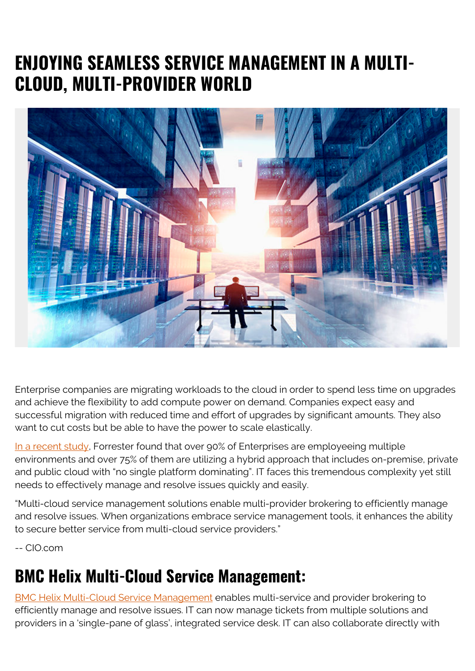## **ENJOYING SEAMLESS SERVICE MANAGEMENT IN A MULTI-CLOUD, MULTI-PROVIDER WORLD**



Enterprise companies are migrating workloads to the cloud in order to spend less time on upgrades and achieve the flexibility to add compute power on demand. Companies expect easy and successful migration with reduced time and effort of upgrades by significant amounts. They also want to cut costs but be able to have the power to scale elastically.

[In a recent study](https://blogs.bmc.com/blogs/bmc-helix-itsm-for-customers/), Forrester found that over 90% of Enterprises are employeeing multiple environments and over 75% of them are utilizing a hybrid approach that includes on-premise, private and public cloud with "no single platform dominating". IT faces this tremendous complexity yet still needs to effectively manage and resolve issues quickly and easily.

"Multi-cloud service management solutions enable multi-provider brokering to efficiently manage and resolve issues. When organizations embrace service management tools, it enhances the ability to secure better service from multi-cloud service providers."

-- CIO.com

## **BMC Helix Multi-Cloud Service Management:**

[BMC Helix Multi-Cloud Service Management](https://blogs.bmc.com/it-solutions/bmc-helix-itsm-capabilities.html) enables multi-service and provider brokering to efficiently manage and resolve issues. IT can now manage tickets from multiple solutions and providers in a 'single-pane of glass', integrated service desk. IT can also collaborate directly with